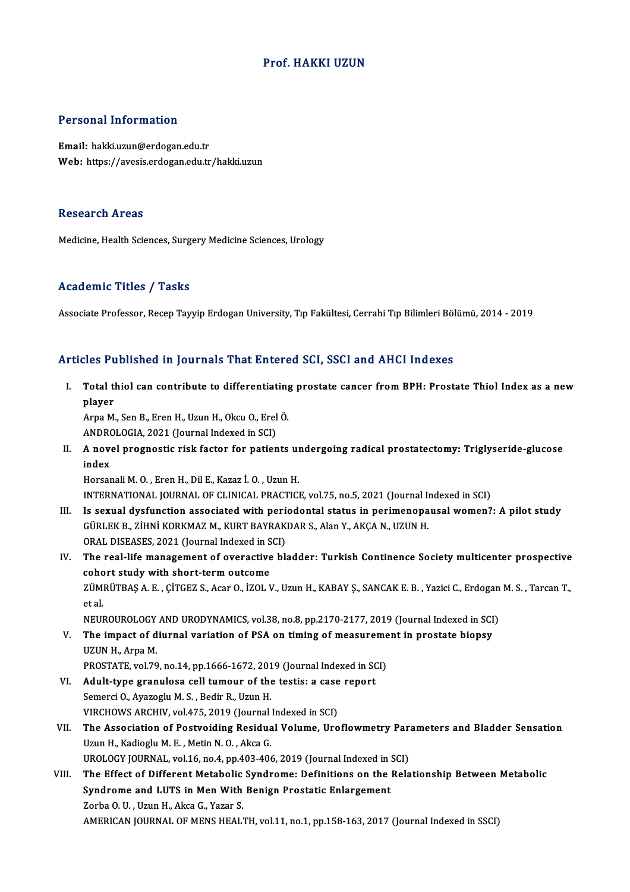#### Prof.HAKKI UZUN

#### Personal Information

Email: hakki.uzun@erdogan.edu.tr Web: https://avesis.erdogan.edu.tr/hakki.uzun

#### **Research Areas**

Medicine, Health Sciences, Surgery Medicine Sciences, Urology

#### Academic Titles / Tasks

Associate Professor, Recep Tayyip Erdogan University, Tıp Fakültesi, Cerrahi Tıp Bilimleri Bölümü, 2014 - 2019

#### Articles Published in Journals That Entered SCI, SSCI and AHCI Indexes

I. Total thiol can contribute to differentiating prostate cancer fromBPH: Prostate Thiol Index as a new ncs<br>1<br>player<br><sup>Arna M</sup>

player<br>Arpa M., Sen B., Eren H., Uzun H., Okcu O., Erel Ö. player<br>Arpa M., Sen B., Eren H., Uzun H., Okcu O., Erel<br>ANDROLOGIA, 2021 (Journal Indexed in SCI)<br>A novel pregnestie risk fester for patien

II. A novel prognostic risk factor for patients undergoing radical prostatectomy: Triglyseride-glucose index ANDRO<br>A nove<br>index<br>Horser

Horsanali M. O., Eren H., Dil E., Kazaz İ. O., Uzun H. INTERNATIONAL JOURNALOF CLINICAL PRACTICE,vol.75,no.5,2021 (Journal Indexed inSCI)

- III. Is sexual dysfunction associated with periodontal status in perimenopausal women?: A pilot study INTERNATIONAL JOURNAL OF CLINICAL PRACTICE, vol.75, no.5, 2021 (Journal II<br>Is sexual dysfunction associated with periodontal status in perimenopa<br>GÜRLEK B., ZİHNİ KORKMAZ M., KURT BAYRAKDAR S., Alan Y., AKÇA N., UZUN H.<br>OP Is sexual dysfunction associated with perical<br>GÜRLEK B., ZİHNİ KORKMAZ M., KURT BAYRAK<br>ORAL DISEASES, 2021 (Journal Indexed in SCI)<br>The real life management of everestive bl. GÜRLEK B., ZİHNİ KORKMAZ M., KURT BAYRAKDAR S., Alan Y., AKÇA N., UZUN H.<br>ORAL DISEASES, 2021 (Journal Indexed in SCI)<br>IV. The real-life management of overactive bladder: Turkish Continence Society multicenter prospective<br>
- ORAL DISEASES, 2021 (Journal Indexed in S<br>The real-life management of overactive<br>cohort study with short-term outcome<br>zÜMPÜTPAS A E CİTCEZ S AGR O İZOLN The real-life management of overactive bladder: Turkish Continence Society multicenter prospective<br>cohort study with short-term outcome<br>ZÜMRÜTBAŞ A. E. , ÇİTGEZ S., Acar O., İZOL V., Uzun H., KABAY Ş., SANCAK E. B. , Yazic coho<br>ZÜM<br>et al.<br>NEU ZÜMRÜTBAŞ A. E. , ÇİTGEZ S., Acar O., İZOL V., Uzun H., KABAY Ş., SANCAK E. B. , Yazici C., Erdogan<br>et al.<br>NEUROUROLOGY AND URODYNAMICS, vol.38, no.8, pp.2170-2177, 2019 (Journal Indexed in SCI)<br>The impact of diurnal varia et al.<br>NEUROUROLOGY AND URODYNAMICS, vol.38, no.8, pp.2170-2177, 2019 (Journal Indexed in SCI<br>V. The impact of diurnal variation of PSA on timing of measurement in prostate biopsy<br>UZUN H. Arna M
- NEUROUROLOGY<br>The impact of d<br>UZUN H., Arpa M.<br>PROSTATE vol 70 The impact of diurnal variation of PSA on timing of measureme<br>UZUN H., Arpa M.<br>PROSTATE, vol.79, no.14, pp.1666-1672, 2019 (Journal Indexed in SCI)<br>Adult tune grapulase sell tumour of the testis: a sese report UZUN H., Arpa M.<br>PROSTATE, vol.79, no.14, pp.1666-1672, 2019 (Journal Indexed in SCI)<br>VI. Adult-type granulosa cell tumour of the testis: a case report
- Semerci O., Ayazoglu M. S., Bedir R., Uzun H. Adult-type granulosa cell tumour of the testis: a case<br>Semerci O., Ayazoglu M. S. , Bedir R., Uzun H.<br>VIRCHOWS ARCHIV, vol.475, 2019 (Journal Indexed in SCI)<br>The Association of Bestypiding Besidual Volume, Ure
- VII. The Association of Postvoiding Residual Volume, Uroflowmetry Parameters and Bladder Sensation<br>Uzun H., Kadioglu M. E., Metin N. O., Akca G. VIRCHOWS ARCHIV, vol.475, 2019 (Journal<br>The Association of Postvoiding Residua<br>Uzun H., Kadioglu M. E. , Metin N. O. , Akca G.<br>UPOLOCY JOUPNAL, vol.16, no.4, nn.403, 406 The Association of Postvoiding Residual Volume, Uroflowmetry Para<br>Uzun H., Kadioglu M. E. , Metin N. O. , Akca G.<br>UROLOGY JOURNAL, vol.16, no.4, pp.403-406, 2019 (Journal Indexed in SCI)<br>The Effect of Different Metabolic S Uzun H., Kadioglu M. E. , Metin N. O. , Akca G.<br>UROLOGY JOURNAL, vol.16, no.4, pp.403-406, 2019 (Journal Indexed in SCI)<br>VIII. The Effect of Different Metabolic Syndrome: Definitions on the Relationship Between Metabolic<br>S
- UROLOGY JOURNAL, vol.16, no.4, pp.403-406, 2019 (Journal Indexed in :<br>The Effect of Different Metabolic Syndrome: Definitions on the<br>Syndrome and LUTS in Men With Benign Prostatic Enlargement<br>Zarba O. U. Uzun H. Alise G. Y The Effect of Different Metabolic<br>Syndrome and LUTS in Men With<br>Zorba O.U., Uzun H., Akca G., Yazar S.<br>AMERICAN JOURNAL OF MENS HEAL Syndrome and LUTS in Men With Benign Prostatic Enlargement<br>Zorba O. U. , Uzun H., Akca G., Yazar S.<br>AMERICAN JOURNAL OF MENS HEALTH, vol.11, no.1, pp.158-163, 2017 (Journal Indexed in SSCI)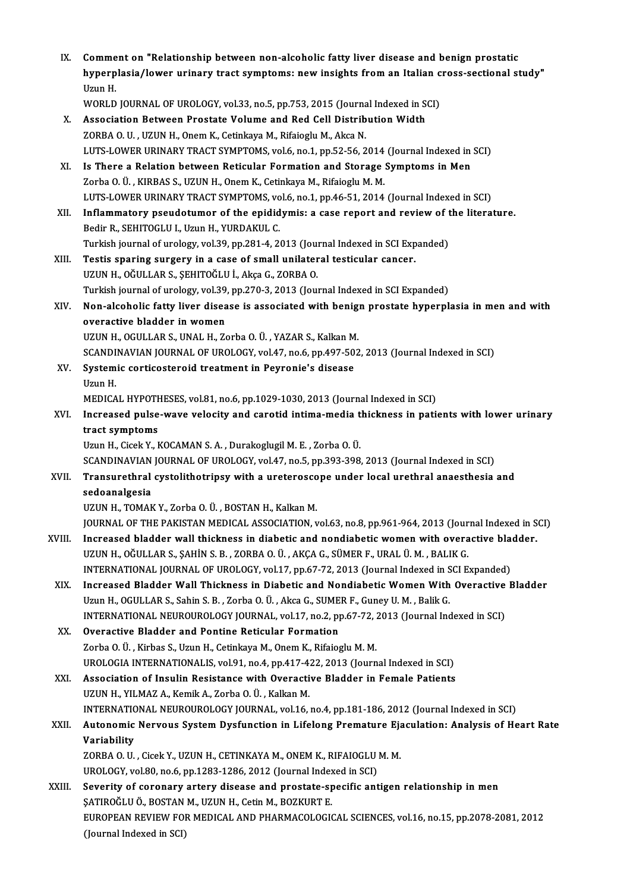| IX.    | Comment on "Relationship between non-alcoholic fatty liver disease and benign prostatic<br>hyperplasia/lower urinary tract symptoms: new insights from an Italian cross-sectional study"<br>Uzun H. |
|--------|-----------------------------------------------------------------------------------------------------------------------------------------------------------------------------------------------------|
|        | WORLD JOURNAL OF UROLOGY, vol.33, no.5, pp.753, 2015 (Journal Indexed in SCI)                                                                                                                       |
| Х.     | Association Between Prostate Volume and Red Cell Distribution Width                                                                                                                                 |
|        | ZORBA O. U., UZUN H., Onem K., Cetinkaya M., Rifaioglu M., Akca N.                                                                                                                                  |
|        | LUTS-LOWER URINARY TRACT SYMPTOMS, vol.6, no.1, pp.52-56, 2014 (Journal Indexed in SCI)                                                                                                             |
| XI.    | Is There a Relation between Reticular Formation and Storage Symptoms in Men                                                                                                                         |
|        | Zorba O. Ü., KIRBAS S., UZUN H., Onem K., Cetinkaya M., Rifaioglu M. M.                                                                                                                             |
|        | LUTS-LOWER URINARY TRACT SYMPTOMS, vol.6, no.1, pp.46-51, 2014 (Journal Indexed in SCI)                                                                                                             |
| XII.   | Inflammatory pseudotumor of the epididymis: a case report and review of the literature.                                                                                                             |
|        | Bedir R., SEHITOGLU I., Uzun H., YURDAKUL C.                                                                                                                                                        |
|        | Turkish journal of urology, vol.39, pp.281-4, 2013 (Journal Indexed in SCI Expanded)<br>Testis sparing surgery in a case of small unilateral testicular cancer.                                     |
| XIII.  | UZUN H., OĞULLAR S., ŞEHITOĞLU İ., Akça G., ZORBA O.                                                                                                                                                |
|        | Turkish journal of urology, vol.39, pp.270-3, 2013 (Journal Indexed in SCI Expanded)                                                                                                                |
| XIV.   | Non-alcoholic fatty liver disease is associated with benign prostate hyperplasia in men and with                                                                                                    |
|        | overactive bladder in women                                                                                                                                                                         |
|        | UZUN H., OGULLAR S., UNAL H., Zorba O. Ü., YAZAR S., Kalkan M.                                                                                                                                      |
|        | SCANDINAVIAN JOURNAL OF UROLOGY, vol.47, no.6, pp.497-502, 2013 (Journal Indexed in SCI)                                                                                                            |
| XV.    | Systemic corticosteroid treatment in Peyronie's disease                                                                                                                                             |
|        | Uzun H.                                                                                                                                                                                             |
|        | MEDICAL HYPOTHESES, vol.81, no.6, pp.1029-1030, 2013 (Journal Indexed in SCI)                                                                                                                       |
| XVI.   | Increased pulse-wave velocity and carotid intima-media thickness in patients with lower urinary                                                                                                     |
|        | tract symptoms                                                                                                                                                                                      |
|        | Uzun H., Cicek Y., KOCAMAN S. A., Durakoglugil M. E., Zorba O. Ü.<br>SCANDINAVIAN JOURNAL OF UROLOGY, vol.47, no.5, pp.393-398, 2013 (Journal Indexed in SCI)                                       |
| XVII.  | Transurethral cystolithotripsy with a ureteroscope under local urethral anaesthesia and                                                                                                             |
|        | sedoanalgesia                                                                                                                                                                                       |
|        | UZUN H., TOMAK Y., Zorba O. Ü., BOSTAN H., Kalkan M.                                                                                                                                                |
| XVIII. | JOURNAL OF THE PAKISTAN MEDICAL ASSOCIATION, vol.63, no.8, pp.961-964, 2013 (Journal Indexed in SCI)<br>Increased bladder wall thickness in diabetic and nondiabetic women with overactive bladder. |
|        | UZUN H., OĞULLAR S., ŞAHİN S. B. , ZORBA O. Ü. , AKÇA G., SÜMER F., URAL Ü. M. , BALIK G.                                                                                                           |
|        | INTERNATIONAL JOURNAL OF UROLOGY, vol.17, pp.67-72, 2013 (Journal Indexed in SCI Expanded)                                                                                                          |
| XIX.   | Increased Bladder Wall Thickness in Diabetic and Nondiabetic Women With Overactive Bladder                                                                                                          |
|        | Uzun H., OGULLAR S., Sahin S. B., Zorba O. Ü., Akca G., SUMER F., Guney U. M., Balik G.                                                                                                             |
|        | INTERNATIONAL NEUROUROLOGY JOURNAL, vol.17, no.2, pp.67-72, 2013 (Journal Indexed in SCI)                                                                                                           |
| XX.    | Overactive Bladder and Pontine Reticular Formation                                                                                                                                                  |
|        | Zorba O. Ü., Kirbas S., Uzun H., Cetinkaya M., Onem K., Rifaioglu M. M.                                                                                                                             |
|        | UROLOGIA INTERNATIONALIS, vol.91, no.4, pp.417-422, 2013 (Journal Indexed in SCI)                                                                                                                   |
| XXI.   | Association of Insulin Resistance with Overactive Bladder in Female Patients                                                                                                                        |
|        | UZUN H., YILMAZ A., Kemik A., Zorba O. Ü., Kalkan M.                                                                                                                                                |
|        | INTERNATIONAL NEUROUROLOGY JOURNAL, vol.16, no.4, pp.181-186, 2012 (Journal Indexed in SCI)                                                                                                         |
| XXII.  | Autonomic Nervous System Dysfunction in Lifelong Premature Ejaculation: Analysis of Heart Rate                                                                                                      |
|        | Variability<br>ZORBA O. U., Cicek Y., UZUN H., CETINKAYA M., ONEM K., RIFAIOGLU M. M.                                                                                                               |
|        | UROLOGY, vol.80, no.6, pp.1283-1286, 2012 (Journal Indexed in SCI)                                                                                                                                  |
| XXIII. | Severity of coronary artery disease and prostate-specific antigen relationship in men                                                                                                               |
|        | ŞATIROĞLU Ö., BOSTAN M., UZUN H., Cetin M., BOZKURT E.                                                                                                                                              |
|        | EUROPEAN REVIEW FOR MEDICAL AND PHARMACOLOGICAL SCIENCES, vol.16, no.15, pp.2078-2081, 2012                                                                                                         |
|        | (Journal Indexed in SCI)                                                                                                                                                                            |
|        |                                                                                                                                                                                                     |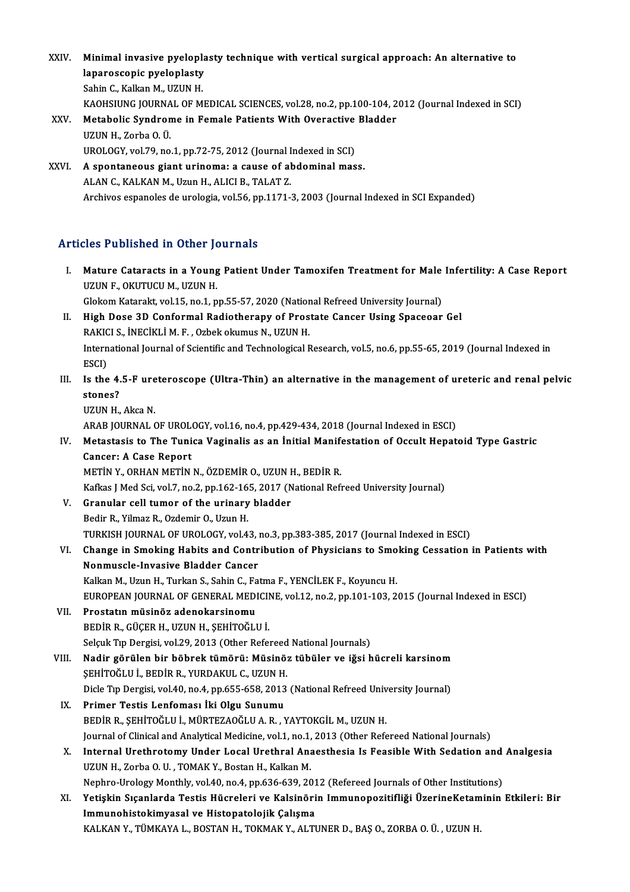- XXIV. Minimal invasive pyeloplasty technique with vertical surgical approach: An alternative to<br>lapareasenis pyeloplasty Minimal invasive pyelopla<br>laparoscopic pyeloplasty<br>Sebin C. Kalkan M. UZUN H Minimal invasive pyelopl:<br>laparoscopic pyeloplasty<br>Sahin C., Kalkan M., UZUN H.<br>KAQUSUING JOUPMAL OF M laparoscopic pyeloplasty<br>Sahin C., Kalkan M., UZUN H.<br>KAOHSIUNG JOURNAL OF MEDICAL SCIENCES, vol.28, no.2, pp.100-104, 2012 (Journal Indexed in SCI)<br>Metabolis Syndnome in Female Petients With Ovenestive Pladder Sahin C., Kalkan M., UZUN H.<br>KAOHSIUNG JOURNAL OF MEDICAL SCIENCES, vol.28, no.2, pp.100-104, 2<br>XXV. Metabolic Syndrome in Female Patients With Overactive Bladder<br>UZUN H. Zorba Q.Ü KAOHSIUNG JOURNA<br>Metabolic Syndron<br>UZUN H., Zorba O. Ü.<br>UPOLOCY vol 79. no Metabolic Syndrome in Female Patients With Overactive<br>UZUN H., Zorba O. Ü.<br>UROLOGY, vol.79, no.1, pp.72-75, 2012 (Journal Indexed in SCI)<br>A spontaneous siant urinomal a sause of abdominal mas UZUN H., Zorba O. Ü.<br>UROLOGY, vol.79, no.1, pp.72-75, 2012 (Journal Indexed in SCI)<br>XXVI. A spontaneous giant urinoma: a cause of abdominal mass.
- UROLOGY, vol.79, no.1, pp.72-75, 2012 (Journal I<br>A spontaneous giant urinoma: a cause of al<br>ALAN C., KALKAN M., Uzun H., ALICI B., TALAT Z. A spontaneous giant urinoma: a cause of abdominal mass.<br>ALAN C., KALKAN M., Uzun H., ALICI B., TALAT Z.<br>Archivos espanoles de urologia, vol.56, pp.1171-3, 2003 (Journal Indexed in SCI Expanded)

### Articles Published in Other Journals

I. Mature Cataracts in Other Journals<br>I. Mature Cataracts in a Young Patient Under Tamoxifen Treatment for Male Infertility: A Case Report<br>ITZUN E OVUTUCU M JIZUN H Mature Cataracts in a Young<br>UZUN F., OKUTUCU M., UZUN H.<br>Clakem Katarakt vel 15, no.1, n Mature Cataracts in a Young Patient Under Tamoxifen Treatment for Male<br>UZUN F., OKUTUCU M., UZUN H.<br>Glokom Katarakt, vol.15, no.1, pp.55-57, 2020 (National Refreed University Journal)<br>High Dose 3D Conformal Redistherany of UZUN F., OKUTUCU M., UZUN H.<br>Glokom Katarakt, vol.15, no.1, pp.55-57, 2020 (National Refreed University Journal)<br>II. High Dose 3D Conformal Radiotherapy of Prostate Cancer Using Spaceoar Gel

- Glokom Katarakt, vol.15, no.1, pp.55-57, 2020 (Nation<br>High Dose 3D Conformal Radiotherapy of Pros<br>RAKICI S., İNECİKLİ M. F. , Ozbek okumus N., UZUN H.<br>International Jaurnal of Scientific and Technological B International Journal of Scientific and Technological Research, vol.5, no.6, pp.55-65, 2019 (Journal Indexed in ESCI) RAKICI S., İNECİKLİ M. F., Ozbek okumus N., UZUN H. International Journal of Scientific and Technological Research, vol.5, no.6, pp.55-65, 2019 (Journal Indexed in<br>ESCI)<br>III. Is the 4.5-F ureteroscope (Ultra-Thin) an alternative in the management of ureteric and renal pelvi
- ESCI)<br>Is the 4.<br>stones?<br>UZUN H Is the 4.5-F ure<br>stones?<br>UZUN H., Akca N.<br>ARAR JOURNAL G stones?<br>UZUN H., Akca N.<br>ARAB JOURNAL OF UROLOGY, vol.16, no.4, pp.429-434, 2018 (Journal Indexed in ESCI)
	-

UZUN H., Akca N.<br>ARAB JOURNAL OF UROLOGY, vol.16, no.4, pp.429-434, 2018 (Journal Indexed in ESCI)<br>IV. Metastasis to The Tunica Vaginalis as an İnitial Manifestation of Occult Hepatoid Type Gastric<br>Cancer: A Case Bonort ARAB JOURNAL OF UROL<br>Metastasis to The Tuni<br>Cancer: A Case Report<br>METIN Y OPHAN METIN Metastasis to The Tunica Vaginalis as an İnitial Manif<br>Cancer: A Case Report<br>METİN Y., ORHAN METİN N., ÖZDEMİR O., UZUN H., BEDİR R.<br>Kefire LMed Ssi val 7, no 2, nn 162,165, 2017 (National Befi Cancer: A Case Report<br>METİN Y., ORHAN METİN N., ÖZDEMİR O., UZUN H., BEDİR R.<br>Kafkas J Med Sci, vol.7, no.2, pp.162-165, 2017 (National Refreed University Journal)

- METIN Y., ORHAN METIN N., ÖZDEMIR O., UZUN I<br>Kafkas J Med Sci, vol.7, no.2, pp.162-165, 2017 (N<br>V. Granular cell tumor of the urinary bladder<br>Pedin P. Vilmar P. Ordemin O. Urun H Kafkas J Med Sci, vol.7, no.2, pp.162-16<br>Granular cell tumor of the urinary<br>Bedir R., Yilmaz R., Ozdemir O., Uzun H.<br>TURKISH JOURNAL OF UROLOGY vol.4 Granular cell tumor of the urinary bladder<br>Bedir R., Yilmaz R., Ozdemir O., Uzun H.<br>TURKISH JOURNAL OF UROLOGY, vol.43, no.3, pp.383-385, 2017 (Journal Indexed in ESCI)<br>Change in Smeking Hebite and Centribution of Bhysisia
- Bedir R., Yilmaz R., Ozdemir O., Uzun H.<br>TURKISH JOURNAL OF UROLOGY, vol.43, no.3, pp.383-385, 2017 (Journal Indexed in ESCI)<br>VI. Change in Smoking Habits and Contribution of Physicians to Smoking Cessation in Patients wit TURKISH JOURNAL OF UROLOGY, vol.43, i<br>Change in Smoking Habits and Contr<br>Nonmuscle-Invasive Bladder Cancer<br>Kalkan M. Hrun H. Turkan S. Sabin G. Fa Change in Smoking Habits and Contribution of Physicians to Smo<br>Nonmuscle-Invasive Bladder Cancer<br>Kalkan M., Uzun H., Turkan S., Sahin C., Fatma F., YENCİLEK F., Koyuncu H.<br>FUROPEAN JOURNAL OF CENERAL MEDICINE vol.12 no.2 n Nonmuscle-Invasive Bladder Cancer<br>Kalkan M., Uzun H., Turkan S., Sahin C., Fatma F., YENCİLEK F., Koyuncu H.<br>EUROPEAN JOURNAL OF GENERAL MEDICINE, vol.12, no.2, pp.101-103, 2015 (Journal Indexed in ESCI)<br>Prestatur müsinär

- Kalkan M., Uzun H., Turkan S., Sahin C., Fa<br>EUROPEAN JOURNAL OF GENERAL MED!<br>VII. Prostatın müsinöz adenokarsinomu<br>PEDIP P. CÜCEP H. UZUN H. SEHİTOČLI EUROPEAN JOURNAL OF GENERAL MEDICII<br>Prostatın müsinöz adenokarsinomu<br>BEDİR R., GÜÇER H., UZUN H., ŞEHİTOĞLU İ.<br>Sekuk Tın Dergisi vel 29, 2012 (Other Befa VII. Prostatın müsinöz adenokarsinomu<br>BEDİR R., GÜÇER H., UZUN H., ŞEHİTOĞLU İ.<br>Selçuk Tıp Dergisi, vol.29, 2013 (Other Refereed National Journals)
- VIII. Nadir görülen bir böbrek tümörü: Müsinöz tübüler ve iğsi hücreli karsinom Selçuk Tıp Dergisi, vol.29, 2013 (Other Refereed<br>Nadir görülen bir böbrek tümörü: Müsinö:<br>ŞEHİTOĞLU İ., BEDİR R., YURDAKUL C., UZUN H.<br>Disle Tıp Dergisi vol.40, no.4, np.655, 659, 2012 Nadir görülen bir böbrek tümörü: Müsinöz tübüler ve iğsi hücreli karsinom<br>ŞEHİTOĞLU İ., BEDİR R., YURDAKUL C., UZUN H.<br>Dicle Tıp Dergisi, vol.40, no.4, pp.655-658, 2013 (National Refreed University Journal)<br>Primer Testis L SEHİTOĞLU İ., BEDİR R., YURDAKUL C., UZUN H.<br>Dicle Tıp Dergisi, vol.40, no.4, pp.655-658, 2013<br>IX. Primer Testis Lenfoması İki Olgu Sunumu<br>PEDİR B. SEHİTOĞLU İ. MÜRTEZAQĞLU A.R. N
	- Dicle Tıp Dergisi, vol.40, no.4, pp.655-658, 2013 (National Refreed Univ<br>Primer Testis Lenfoması İki Olgu Sunumu<br>BEDİR R., ŞEHİTOĞLU İ., MÜRTEZAOĞLU A. R. , YAYTOKGİL M., UZUN H.<br>Journal of Clinical and Analytical Modisine Primer Testis Lenfoması İki Olgu Sunumu<br>BEDİR R., ŞEHİTOĞLU İ., MÜRTEZAOĞLU A. R. , YAYTOKGİL M., UZUN H.<br>Journal of Clinical and Analytical Medicine, vol.1, no.1, 2013 (Other Refereed National Journals)<br>Internal Urethrete BEDİR R., ŞEHİTOĞLU İ., MÜRTEZAOĞLU A. R. , YAYTOKGİL M., UZUN H.<br>Journal of Clinical and Analytical Medicine, vol.1, no.1, 2013 (Other Refereed National Journals)<br>X. Internal Urethrotomy Under Local Urethral Anaesthesi
	- Journal of Clinical and Analytical Medicine, vol.1, no.1,<br>Internal Urethrotomy Under Local Urethral Ana<br>UZUN H., Zorba O. U. , TOMAK Y., Bostan H., Kalkan M.<br>Naphre Urelegy Monthly, vol.40, no.4, np.626,630,30 Internal Urethrotomy Under Local Urethral Anaesthesia Is Feasible With Sedation and<br>UZUN H., Zorba O. U. , TOMAK Y., Bostan H., Kalkan M.<br>Nephro-Urology Monthly, vol.40, no.4, pp.636-639, 2012 (Refereed Journals of Other I UZUN H., Zorba O. U. , TOMAK Y., Bostan H., Kalkan M.<br>Nephro-Urology Monthly, vol.40, no.4, pp.636-639, 2012 (Refereed Journals of Other Institutions)<br>XI. Yetişkin Sıçanlarda Testis Hücreleri ve Kalsinörin Immunopozitifliğ
	- Nephro-Urology Monthly, vol.40, no.4, pp.636-639, 201<br>Yetişkin Sıçanlarda Testis Hücreleri ve Kalsinöri<br>Immunohistokimyasal ve Histopatolojik Çalışma<br>KALEAN V. TÜMEAYA L. POSTAN H. TOEMAE V. ALTI Yetişkin Sıçanlarda Testis Hücreleri ve Kalsinörin Immunopozitifliği ÜzerineKetam<br>Immunohistokimyasal ve Histopatolojik Çalışma<br>KALKAN Y., TÜMKAYA L., BOSTAN H., TOKMAK Y., ALTUNER D., BAŞ O., ZORBA O. Ü. , UZUN H.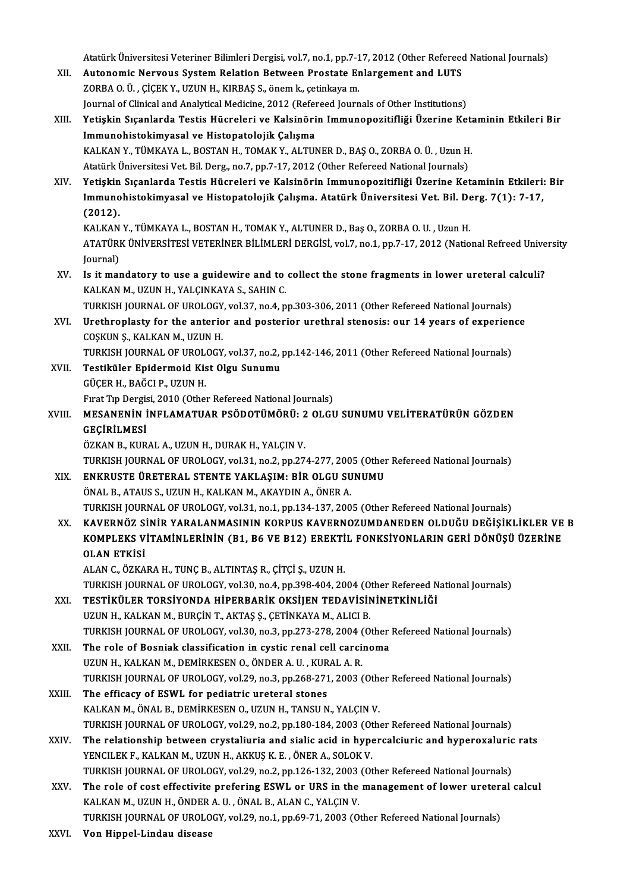Atatürk Üniversitesi Veteriner Bilimleri Dergisi, vol.7, no.1, pp.7-17, 2012 (Other Refereed National Journals)<br>Autonomis Norvous System Belation Between Prostate Enlargement and LUTS

- Atatürk Üniversitesi Veteriner Bilimleri Dergisi, vol.7, no.1, pp.7-17, 2012 (Other Refereed<br>XII. Autonomic Nervous System Relation Between Prostate Enlargement and LUTS<br>ZOPRA Q.Ü. CİCEK V. UZUN H. KIPRAS S. ÖRƏM k. es Atatürk Üniversitesi Veteriner Bilimleri Dergisi, vol.7, no.1, pp.7-1<br>Autonomic Nervous System Relation Between Prostate Er<br>ZORBA O. Ü. , ÇİÇEK Y., UZUN H., KIRBAŞ S., önem k., çetinkaya m.<br>Journal of Clinical and Anakutic Autonomic Nervous System Relation Between Prostate Enlargement and LUTS<br>ZORBA O. Ü. , ÇİÇEK Y., UZUN H., KIRBAŞ S., önem k., çetinkaya m.<br>Journal of Clinical and Analytical Medicine, 2012 (Refereed Journals of Other Instit
- ZORBA O. Ü. , ÇİÇEK Y., UZUN H., KIRBAŞ S., önem k., çetinkaya m.<br>Journal of Clinical and Analytical Medicine, 2012 (Refereed Journals of Other Institutions)<br>XIII. Yetişkin Sıçanlarda Testis Hücreleri ve Kalsinörin Imm Journal of Clinical and Analytical Medicine, 2012 (Refer<br>Yetişkin Sıçanlarda Testis Hücreleri ve Kalsinöri<br>Immunohistokimyasal ve Histopatolojik Çalışma<br>KALKAN V. TÜMKAYA L. BOSTAN H. TOMAK V. ALTU Yetişkin Sıçanlarda Testis Hücreleri ve Kalsinörin Immunopozitifliği Üzerine Keta<br>Immunohistokimyasal ve Histopatolojik Çalışma<br>KALKAN Y., TÜMKAYA L., BOSTAN H., TOMAK Y., ALTUNER D., BAŞ O., ZORBA O. Ü. , Uzun H.<br>Atatürk Immunohistokimyasal ve Histopatolojik Çalışma<br>KALKAN Y., TÜMKAYA L., BOSTAN H., TOMAK Y., ALTUNER D., BAŞ O., ZORBA O. Ü. , Uzun H<br>Atatürk Üniversitesi Vet. Bil. Derg., no.7, pp.7-17, 2012 (Other Refereed National Journals
- Atatürk Üniversitesi Vet. Bil. Derg., no.7, pp.7-17, 2012 (Other Refereed National Journals)<br>XIV. Yetişkin Sıçanlarda Testis Hücreleri ve Kalsinörin Immunopozitifliği Üzerine Ketaminin Etkileri: Bir Atatürk Üniversitesi Vet. Bil. Derg., no.7, pp.7-17, 2012 (Other Refereed National Journals)<br>Yetişkin Sıçanlarda Testis Hücreleri ve Kalsinörin Immunopozitifliği Üzerine Ketaminin Etkileri:<br>Immunohistokimyasal ve Histopato Yetişkin<br>Immuno<br>(2012).<br><sup>KAL KAN</sup> Immunohistokimyasal ve Histopatolojik Çalışma. Atatürk Üniversitesi Vet. Bil. De<br>(2012).<br>KALKAN Y., TÜMKAYA L., BOSTAN H., TOMAK Y., ALTUNER D., Baş O., ZORBA O. U. , Uzun H.<br>ATATÜRK ÜNIVERSİTESI VETERİNER RİLİMLERİ DERÇİS

(2012).<br>KALKAN Y., TÜMKAYA L., BOSTAN H., TOMAK Y., ALTUNER D., Baş O., ZORBA O. U. , Uzun H.<br>ATATÜRK ÜNİVERSİTESİ VETERİNER BİLİMLERİ DERGİSİ, vol.7, no.1, pp.7-17, 2012 (National Refreed University KALKAN<br>ATATÜRI<br>Journal)<br>Is it mar ATATÜRK ÜNİVERSİTESİ VETERİNER BİLİMLERİ DERGİSİ, vol.7, no.1, pp.7-17, 2012 (National Refreed Unive<br>Journal)<br>XV. Is it mandatory to use a guidewire and to collect the stone fragments in lower ureteral calculi?<br>XALKAN M\_UZ

Journal)<br>Is it mandatory to use a guidewire and to<br>KALKAN M., UZUN H., YALÇINKAYA S., SAHIN C.<br>TURKISH JOURNAL OF UROLOCY, vel 27, ne 4, n Is it mandatory to use a guidewire and to collect the stone fragments in lower ureteral c<br>KALKAN M., UZUN H., YALÇINKAYA S., SAHIN C.<br>TURKISH JOURNAL OF UROLOGY, vol.37, no.4, pp.303-306, 2011 (Other Refereed National Jour

- KALKAN M., UZUN H., YALÇINKAYA S., SAHIN C.<br>TURKISH JOURNAL OF UROLOGY, vol.37, no.4, pp.303-306, 2011 (Other Refereed National Journals)<br>XVI. Urethroplasty for the anterior and posterior urethral stenosis: our 14 years of TURKISH JOURNAL OF UROLOGY<br>Urethroplasty for the anterio<br>COŞKUN Ş., KALKAN M., UZUN H.<br>TURKISH JOURNAL OF UROLOGY Urethroplasty for the anterior and posterior urethral stenosis: our 14 years of experien<br>COŞKUN Ş., KALKAN M., UZUN H.<br>TURKISH JOURNAL OF UROLOGY, vol.37, no.2, pp.142-146, 2011 (Other Refereed National Journals)<br>Testiküle COȘKUN Ș., KALKAN M., UZUN H.<br>TURKISH JOURNAL OF UROLOGY, vol.37, no.2, <sub>1</sub><br>XVII. Testiküler Epidermoid Kist Olgu Sunumu<br>CÜCEP H. BAČCLP, UZUN H
- TURKISH JOURNAL OF UROL<br>Testiküler Epidermoid Kis<br>GÜÇER H., BAĞCI P., UZUN H.<br>Evrat Tın Dergisi 2010 (Other Testiküler Epidermoid Kist Olgu Sunumu<br>GÜÇER H., BAĞCI P., UZUN H.<br>Fırat Tıp Dergisi, 2010 (Other Refereed National Journals)<br>MESANENİN İNELAMATILAR RSÖDOTÜMÖRÜ. 2 OLCI

## GÜÇER H., BAĞCI P., UZUN H.<br>Fırat Tıp Dergisi, 2010 (Other Refereed National Journals)<br>XVIII. MESANENİN İNFLAMATUAR PSÖDOTÜMÖRÜ: 2 OLGU SUNUMU VELİTERATÜRÜN GÖZDEN<br>CECIPLI MESİ Fırat Tıp Dergis<br><mark>MESANENİN İ</mark><br>GEÇİRİLMESİ<br>ÖZKAN BAKIR MESANENİN İNFLAMATUAR PSÖDOTÜMÖRÜ: 2<br>GEÇİRİLMESİ<br>ÖZKAN B., KURAL A., UZUN H., DURAK H., YALÇIN V.<br>TURKISH JOURNAL OF UROLOCY YOL?1 no 2, nd 27

GEÇİRİLMESİ<br>ÖZKAN B., KURAL A., UZUN H., DURAK H., YALÇIN V.<br>TURKISH JOURNAL OF UROLOGY, vol.31, no.2, pp.274-277, 2005 (Other Refereed National Journals)

- XIX. ENKRUSTE ÜRETERAL STENTE YAKLAŞIM: BİR OLGU SUNUMU ÖNALB.,ATAUS S.,UZUNH.,KALKANM.,AKAYDINA.,ÖNERA. TURKISH JOURNAL OF UROLOGY, vol.31, no.1, pp.134-137, 2005 (Other Refereed National Journals)
- XX. KAVERNÖZ SİNİR YARALANMASININ KORPUS KAVERNOZUMDANEDEN OLDUĞU DEĞİŞİKLİKLER VE B TURKISH JOURNAL OF UROLOGY, vol.31, no.1, pp.134-137, 2005 (Other Refereed National Journals)<br>KAVERNÖZ SİNİR YARALANMASININ KORPUS KAVERNOZUMDANEDEN OLDUĞU DEĞİŞİKLİKLER VE<br>KOMPLEKS VİTAMİNLERİNİN (B1, B6 VE B12) EREKTİL F KAVERNÖZ Sİ<br>KOMPLEKS V<br>OLAN ETKİSİ KOMPLEKS VİTAMİNLERİNİN (B1, B6 VE B12) EREKTİ<br>OLAN ETKİSİ<br>ALAN C., ÖZKARA H., TUNÇ B., ALTINTAŞ R., ÇİTÇİ Ş., UZUN H.<br>TURKISH JOURNAL OF UROLOGY YRİ 30, R9 4, RR 308,404, 30

OLAN ETKİSİ<br>ALAN C., ÖZKARA H., TUNÇ B., ALTINTAŞ R., ÇİTÇİ Ş., UZUN H.<br>TURKISH JOURNAL OF UROLOGY, vol.30, no.4, pp.398-404, 2004 (Other Refereed National Journals)<br>TESTİKÜLER TORSİYONDA HİRERRARİK OKSİJEN TEDAVİSİNİNETKİ ALAN C., ÖZKARA H., TUNÇ B., ALTINTAŞ R., ÇİTÇİ Ş., UZUN H.<br>TURKISH JOURNAL OF UROLOGY, vol.30, no.4, pp.398-404, 2004 (Other Refereed N<br>XXI. TESTİKÜLER TORSİYONDA HİPERBARİK OKSİJEN TEDAVİSİNİNETKİNLİĞİ

TURKISH JOURNAL OF UROLOGY, vol.30, no.4, pp.398-404, 2004 (O<br>TESTİKÜLER TORSİYONDA HİPERBARİK OKSIJEN TEDAVISIN<br>UZUN H., KALKAN M., BURÇİN T., AKTAŞ Ş., ÇETİNKAYA M., ALICI B.<br>TURKISH JOURNAL OF UROLOGY vol.30, no.3, nn.2 TESTİKÜLER TORSİYONDA HİPERBARİK OKSİJEN TEDAVİSİNİNETKİNLİĞİ<br>UZUN H., KALKAN M., BURÇİN T., AKTAŞ Ş., ÇETİNKAYA M., ALICI B.<br>TURKISH JOURNAL OF UROLOGY, vol.30, no.3, pp.273-278, 2004 (Other Refereed National Journals)<br>Th UZUN H., KALKAN M., BURÇİN T., AKTAŞ Ş., ÇETİNKAYA M., ALICI B.<br>TURKISH JOURNAL OF UROLOGY, vol.30, no.3, pp.273-278, 2004 (Other<br>XXII. The role of Bosniak classification in cystic renal cell carcinoma<br>UZUN H., KALKAN M.,

TURKISH JOURNAL OF UROLOGY, vol.30, no.3, pp.273-278, 2004 (<br>The role of Bosniak classification in cystic renal cell carci<br>UZUN H., KALKAN M., DEMİRKESEN O., ÖNDER A. U. , KURAL A. R.<br>TURKISH JOURNAL OF UROLOGY, vol.39, no The role of Bosniak classification in cystic renal cell carcinoma<br>UZUN H., KALKAN M., DEMİRKESEN O., ÖNDER A. U. , KURAL A. R.<br>TURKISH JOURNAL OF UROLOGY, vol.29, no.3, pp.268-271, 2003 (Other Refereed National Journals)<br>T UZUN H., KALKAN M., DEMIRKESEN O., ÖNDER A. U. , KUR<br>TURKISH JOURNAL OF UROLOGY, vol.29, no.3, pp.268-271<br>XXIII. The efficacy of ESWL for pediatric ureteral stones

- TURKISH JOURNAL OF UROLOGY, vol.29, no.3, pp.268-271, 2003 (Other The efficacy of ESWL for pediatric ureteral stones<br>KALKAN M., ÖNAL B., DEMİRKESEN O., UZUN H., TANSU N., YALÇIN V.<br>TURKISH JOURNAL OF UROLOGY vol.29, no.2, The efficacy of ESWL for pediatric ureteral stones<br>KALKAN M., ÖNAL B., DEMİRKESEN O., UZUN H., TANSU N., YALÇIN V.<br>TURKISH JOURNAL OF UROLOGY, vol.29, no.2, pp.180-184, 2003 (Other Refereed National Journals)<br>The relations
- KALKAN M., ÖNAL B., DEMIRKESEN O., UZUN H., TANSU N., YALÇIN V.<br>TURKISH JOURNAL OF UROLOGY, vol.29, no.2, pp.180-184, 2003 (Other Refereed National Journals)<br>XXIV. The relationship between crystaliuria and sialic acid in h TURKISH JOURNAL OF UROLOGY, vol.29, no.2, pp.180-184, 2003 (Ot<br>The relationship between crystaliuria and sialic acid in hype<br>YENCILEK F., KALKAN M., UZUN H., AKKUŞ K. E. , ÖNER A., SOLOK V.<br>TURKISH JOURNAL OF UROLOCY, vol. The relationship between crystaliuria and sialic acid in hypercalciuric and hyperoxaluric<br>YENCILEK F., KALKAN M., UZUN H., AKKUŞ K. E. , ÖNER A., SOLOK V.<br>TURKISH JOURNAL OF UROLOGY, vol.29, no.2, pp.126-132, 2003 (Other R YENCILEK F., KALKAN M., UZUN H., AKKUŞ K. E. , ÖNER A., SOLOK V.<br>TURKISH JOURNAL OF UROLOGY, vol.29, no.2, pp.126-132, 2003 (Other Refereed National Journals)<br>XXV. The role of cost effectivite prefering ESWL or URS in the
- TURKISH JOURNAL OF UROLOGY, vol.29, no.2, pp.126-132, 2003<br>The role of cost effectivite prefering ESWL or URS in the<br>KALKAN M., UZUN H., ÖNDER A. U. , ÖNAL B., ALAN C., YALÇIN V.<br>TURKISH JOURNAL OF UROLOGY vol.29, no.1, np The role of cost effectivite prefering ESWL or URS in the management of lower ureteral calcul<br>KALKAN M., UZUN H., ÖNDER A. U. , ÖNAL B., ALAN C., YALÇIN V.<br>TURKISH JOURNAL OF UROLOGY, vol.29, no.1, pp.69-71, 2003 (Other Re

XXVI. Von Hippel-Lindau disease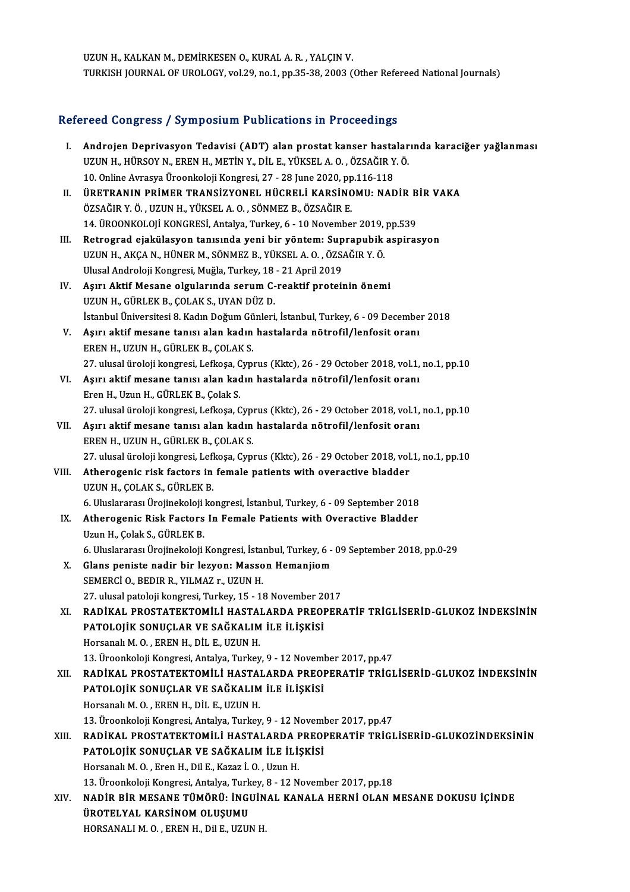UZUN H., KALKAN M., DEMİRKESEN O., KURAL A. R., YALÇIN V. TURKISH JOURNAL OF UROLOGY, vol.29, no.1, pp.35-38, 2003 (Other Refereed National Journals)

# TURKISH JUURNAL OF UROLOGY, VOL29, no.1, pp.35-38, 2003 (Other Refe<br>Refereed Congress / Symposium Publications in Proceedings

| Refereed Congress / Symposium Publications in Proceedings |                                                                                                                                                                         |  |
|-----------------------------------------------------------|-------------------------------------------------------------------------------------------------------------------------------------------------------------------------|--|
| L.                                                        | Androjen Deprivasyon Tedavisi (ADT) alan prostat kanser hastalarında karaciğer yağlanması<br>UZUN H., HÜRSOY N., EREN H., METİN Y., DİL E., YÜKSEL A. O., ÖZSAĞIR Y. Ö. |  |
|                                                           | 10. Online Avrasya Üroonkoloji Kongresi, 27 - 28 June 2020, pp.116-118                                                                                                  |  |
| Н.                                                        | ÜRETRANIN PRİMER TRANSİZYONEL HÜCRELİ KARSİNOMU: NADİR BİR VAKA                                                                                                         |  |
|                                                           | ÖZSAĞIR Y. Ö., UZUN H., YÜKSEL A. O., SÖNMEZ B., ÖZSAĞIR E.                                                                                                             |  |
|                                                           | 14. ÜROONKOLOJİ KONGRESİ, Antalya, Turkey, 6 - 10 November 2019, pp 539                                                                                                 |  |
| III.                                                      | Retrograd ejakülasyon tanısında yeni bir yöntem: Suprapubik aspirasyon                                                                                                  |  |
|                                                           | UZUN H., AKÇA N., HÜNER M., SÖNMEZ B., YÜKSEL A. O., ÖZSAĞIR Y. Ö.                                                                                                      |  |
|                                                           | Ulusal Androloji Kongresi, Muğla, Turkey, 18 - 21 April 2019                                                                                                            |  |
| IV.                                                       | Aşırı Aktif Mesane olgularında serum C-reaktif proteinin önemi                                                                                                          |  |
|                                                           | UZUN H., GÜRLEK B., ÇOLAK S., UYAN DÜZ D.<br>İstanbul Üniversitesi 8. Kadın Doğum Günleri, İstanbul, Turkey, 6 - 09 December 2018                                       |  |
| V.                                                        | Aşırı aktif mesane tanısı alan kadın hastalarda nötrofil/lenfosit oranı                                                                                                 |  |
|                                                           | EREN H., UZUN H., GÜRLEK B., ÇOLAK S.                                                                                                                                   |  |
|                                                           | 27. ulusal üroloji kongresi, Lefkoşa, Cyprus (Kktc), 26 - 29 October 2018, vol.1, no.1, pp.10                                                                           |  |
| VI.                                                       | Aşırı aktif mesane tanısı alan kadın hastalarda nötrofil/lenfosit oranı                                                                                                 |  |
|                                                           | Eren H., Uzun H., GÜRLEK B., Çolak S.                                                                                                                                   |  |
|                                                           | 27. ulusal üroloji kongresi, Lefkoşa, Cyprus (Kktc), 26 - 29 October 2018, vol.1, no.1, pp.10                                                                           |  |
| VII.                                                      | Aşırı aktif mesane tanısı alan kadın hastalarda nötrofil/lenfosit oranı                                                                                                 |  |
|                                                           | EREN H., UZUN H., GÜRLEK B., ÇOLAK S.                                                                                                                                   |  |
|                                                           | 27. ulusal üroloji kongresi, Lefkoşa, Cyprus (Kktc), 26 - 29 October 2018, vol.1, no.1, pp.10                                                                           |  |
| VIII.                                                     | Atherogenic risk factors in female patients with overactive bladder                                                                                                     |  |
|                                                           | UZUN H., ÇOLAK S., GÜRLEK B.                                                                                                                                            |  |
|                                                           | 6. Uluslararası Ürojinekoloji kongresi, İstanbul, Turkey, 6 - 09 September 2018                                                                                         |  |
| IX.                                                       | Atherogenic Risk Factors In Female Patients with Overactive Bladder                                                                                                     |  |
|                                                           | Uzun H., Çolak S., GÜRLEK B.                                                                                                                                            |  |
|                                                           | 6. Uluslararası Ürojinekoloji Kongresi, İstanbul, Turkey, 6 - 09 September 2018, pp.0-29                                                                                |  |
| Х.                                                        | Glans peniste nadir bir lezyon: Masson Hemanjiom                                                                                                                        |  |
|                                                           | SEMERCÍ O. BEDIR R. YILMAZ r. UZUN H.                                                                                                                                   |  |
|                                                           | 27. ulusal patoloji kongresi, Turkey, 15 - 18 November 2017                                                                                                             |  |
| XI.                                                       | RADİKAL PROSTATEKTOMİLİ HASTALARDA PREOPERATİF TRİGLİSERİD-GLUKOZ İNDEKSININ                                                                                            |  |
|                                                           | PATOLOJİK SONUÇLAR VE SAĞKALIM İLE İLİŞKİSİ                                                                                                                             |  |
|                                                           | Horsanalı M. O., EREN H., DİL E., UZUN H.                                                                                                                               |  |
|                                                           | 13. Üroonkoloji Kongresi, Antalya, Turkey, 9 - 12 November 2017, pp.47                                                                                                  |  |
| XII.                                                      | RADİKAL PROSTATEKTOMİLİ HASTALARDA PREOPERATİF TRİGLİSERİD-GLUKOZ İNDEKSININ                                                                                            |  |
|                                                           | PATOLOJİK SONUÇLAR VE SAĞKALIM İLE İLİŞKİSİ                                                                                                                             |  |
|                                                           | Horsanalı M. O., EREN H., DİL E., UZUN H.                                                                                                                               |  |
|                                                           | 13. Üroonkoloji Kongresi, Antalya, Turkey, 9 - 12 November 2017, pp.47<br>RADİKAL PROSTATEKTOMİLİ HASTALARDA PREOPERATİF TRİGLİSERİD-GLUKOZİNDEKSİNİN                   |  |
| XIII.                                                     |                                                                                                                                                                         |  |
|                                                           | PATOLOJİK SONUÇLAR VE SAĞKALIM İLE İLİŞKİSİ                                                                                                                             |  |
|                                                           | Horsanalı M. O., Eren H., Dil E., Kazaz İ. O., Uzun H.                                                                                                                  |  |
| XIV.                                                      | 13. Üroonkoloji Kongresi, Antalya, Turkey, 8 - 12 November 2017, pp.18<br>NADİR BİR MESANE TÜMÖRÜ: İNGUİNAL KANALA HERNİ OLAN MESANE DOKUSU İÇİNDE                      |  |
|                                                           | ÜROTELYAL KARSİNOM OLUŞUMU                                                                                                                                              |  |
|                                                           | HORSANALI M. O., EREN H., Dil E., UZUN H.                                                                                                                               |  |
|                                                           |                                                                                                                                                                         |  |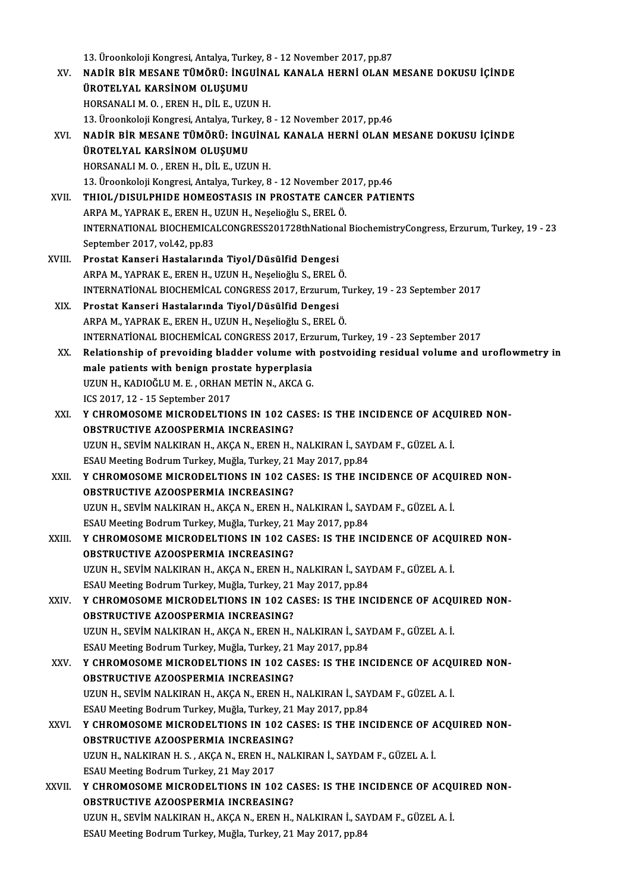|        | 13. Üroonkoloji Kongresi, Antalya, Turkey, 8 - 12 November 2017, pp.87                           |
|--------|--------------------------------------------------------------------------------------------------|
| XV.    | NADİR BİR MESANE TÜMÖRÜ: İNGUİNAL KANALA HERNİ OLAN MESANE DOKUSU İÇİNDE                         |
|        | ÜROTELYAL KARSİNOM OLUŞUMU                                                                       |
|        | HORSANALI M. O., EREN H., DİL E., UZUN H.                                                        |
|        | 13. Üroonkoloji Kongresi, Antalya, Turkey, 8 - 12 November 2017, pp.46                           |
| XVI.   | NADİR BİR MESANE TÜMÖRÜ: İNGUİNAL KANALA HERNİ OLAN MESANE DOKUSU İÇİNDE                         |
|        | ÜROTELYAL KARSİNOM OLUŞUMU                                                                       |
|        | HORSANALI M. O., EREN H., DİL E., UZUN H.                                                        |
|        | 13. Üroonkoloji Kongresi, Antalya, Turkey, 8 - 12 November 2017, pp.46                           |
| XVII.  | THIOL/DISULPHIDE HOMEOSTASIS IN PROSTATE CANCER PATIENTS                                         |
|        | ARPA M., YAPRAK E., EREN H., UZUN H., Neşelioğlu S., EREL Ö.                                     |
|        | INTERNATIONAL BIOCHEMICALCONGRESS201728thNational BiochemistryCongress, Erzurum, Turkey, 19 - 23 |
|        | September 2017, vol 42, pp.83                                                                    |
| XVIII. | Prostat Kanseri Hastalarında Tiyol/Düsülfid Dengesi                                              |
|        | ARPA M., YAPRAK E., EREN H., UZUN H., Neșelioğlu S., EREL Ö.                                     |
|        | INTERNATIONAL BIOCHEMICAL CONGRESS 2017, Erzurum, Turkey, 19 - 23 September 2017                 |
| XIX.   | Prostat Kanseri Hastalarında Tiyol/Düsülfid Dengesi                                              |
|        | ARPA M., YAPRAK E., EREN H., UZUN H., Neșelioğlu S., EREL Ö.                                     |
|        | INTERNATIONAL BIOCHEMICAL CONGRESS 2017, Erzurum, Turkey, 19 - 23 September 2017                 |
| XX.    | Relationship of prevoiding bladder volume with postvoiding residual volume and uroflowmetry in   |
|        | male patients with benign prostate hyperplasia                                                   |
|        | UZUN H., KADIOĞLU M. E., ORHAN METİN N., AKCA G.                                                 |
|        | ICS 2017, 12 - 15 September 2017                                                                 |
| XXI.   | Y CHROMOSOME MICRODELTIONS IN 102 CASES: IS THE INCIDENCE OF ACQUIRED NON-                       |
|        | <b>OBSTRUCTIVE AZOOSPERMIA INCREASING?</b>                                                       |
|        | UZUN H., SEVİM NALKIRAN H., AKÇA N., EREN H., NALKIRAN İ., SAYDAM F., GÜZEL A. İ.                |
|        | ESAU Meeting Bodrum Turkey, Muğla, Turkey, 21 May 2017, pp.84                                    |
| XXII.  | Y CHROMOSOME MICRODELTIONS IN 102 CASES: IS THE INCIDENCE OF ACQUIRED NON-                       |
|        | <b>OBSTRUCTIVE AZOOSPERMIA INCREASING?</b>                                                       |
|        | UZUN H., SEVİM NALKIRAN H., AKÇA N., EREN H., NALKIRAN İ., SAYDAM F., GÜZEL A. İ.                |
|        | ESAU Meeting Bodrum Turkey, Muğla, Turkey, 21 May 2017, pp.84                                    |
| XXIII. | Y CHROMOSOME MICRODELTIONS IN 102 CASES: IS THE INCIDENCE OF ACQUIRED NON-                       |
|        | <b>OBSTRUCTIVE AZOOSPERMIA INCREASING?</b>                                                       |
|        | UZUN H., SEVİM NALKIRAN H., AKÇA N., EREN H., NALKIRAN İ., SAYDAM F., GÜZEL A. İ.                |
|        | ESAU Meeting Bodrum Turkey, Muğla, Turkey, 21 May 2017, pp.84                                    |
| XXIV.  | Y CHROMOSOME MICRODELTIONS IN 102 CASES: IS THE INCIDENCE OF ACQUIRED NON-                       |
|        | OBSTRUCTIVE AZOOSPERMIA INCREASING?                                                              |
|        | UZUN H., SEVİM NALKIRAN H., AKÇA N., EREN H., NALKIRAN İ., SAYDAM F., GÜZEL A. İ.                |
|        | ESAU Meeting Bodrum Turkey, Muğla, Turkey, 21 May 2017, pp.84                                    |
| XXV.   | Y CHROMOSOME MICRODELTIONS IN 102 CASES: IS THE INCIDENCE OF ACQUIRED NON-                       |
|        | OBSTRUCTIVE AZOOSPERMIA INCREASING?                                                              |
|        | UZUN H., SEVİM NALKIRAN H., AKÇA N., EREN H., NALKIRAN İ., SAYDAM F., GÜZEL A. İ.                |
|        | ESAU Meeting Bodrum Turkey, Muğla, Turkey, 21 May 2017, pp.84                                    |
| XXVI.  | Y CHROMOSOME MICRODELTIONS IN 102 CASES: IS THE INCIDENCE OF ACQUIRED NON-                       |
|        | OBSTRUCTIVE AZOOSPERMIA INCREASING?                                                              |
|        | UZUN H., NALKIRAN H. S., AKÇA N., EREN H., NALKIRAN İ., SAYDAM F., GÜZEL A. İ.                   |
|        | ESAU Meeting Bodrum Turkey, 21 May 2017                                                          |
| XXVII. | Y CHROMOSOME MICRODELTIONS IN 102 CASES: IS THE INCIDENCE OF ACQUIRED NON-                       |
|        | <b>OBSTRUCTIVE AZOOSPERMIA INCREASING?</b>                                                       |
|        | UZUN H., SEVİM NALKIRAN H., AKÇA N., EREN H., NALKIRAN İ., SAYDAM F., GÜZEL A. İ.                |
|        | ESAU Meeting Bodrum Turkey, Muğla, Turkey, 21 May 2017, pp.84                                    |
|        |                                                                                                  |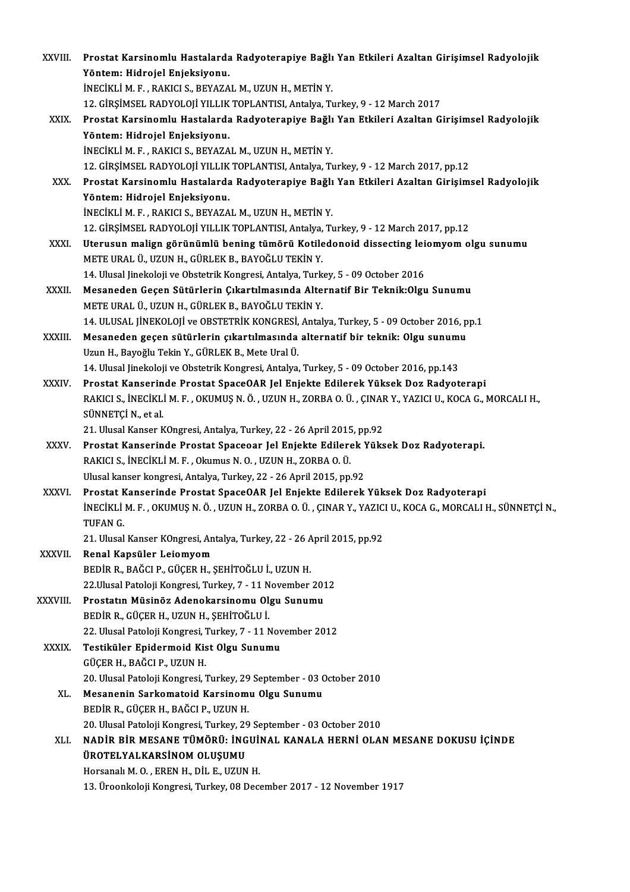| XXVIII.      | Prostat Karsinomlu Hastalarda Radyoterapiye Bağlı Yan Etkileri Azaltan Girişimsel Radyolojik                                        |
|--------------|-------------------------------------------------------------------------------------------------------------------------------------|
|              | Yöntem: Hidrojel Enjeksiyonu.                                                                                                       |
|              | İNECİKLİ M. F., RAKICI S., BEYAZAL M., UZUN H., METİN Y.                                                                            |
|              | 12. GİRŞİMSEL RADYOLOJİ YILLIK TOPLANTISI, Antalya, Turkey, 9 - 12 March 2017                                                       |
| XXIX.        | Prostat Karsinomlu Hastalarda Radyoterapiye Bağlı Yan Etkileri Azaltan Girişimsel Radyolojik                                        |
|              | Yöntem: Hidrojel Enjeksiyonu.                                                                                                       |
|              | İNECİKLİ M. F., RAKICI S., BEYAZAL M., UZUN H., METİN Y.                                                                            |
|              | 12. GİRŞİMSEL RADYOLOJİ YILLIK TOPLANTISI, Antalya, Turkey, 9 - 12 March 2017, pp.12                                                |
| XXX.         | Prostat Karsinomlu Hastalarda Radyoterapiye Bağlı Yan Etkileri Azaltan Girişimsel Radyolojik                                        |
|              | Yöntem: Hidrojel Enjeksiyonu.                                                                                                       |
|              | İNECİKLİ M. F., RAKICI S., BEYAZAL M., UZUN H., METİN Y.                                                                            |
|              | 12. GİRŞİMSEL RADYOLOJİ YILLIK TOPLANTISI, Antalya, Turkey, 9 - 12 March 2017, pp.12                                                |
| XXXI.        | Uterusun malign görünümlü bening tümörü Kotiledonoid dissecting leiomyom olgu sunumu                                                |
|              | METE URAL Ü., UZUN H., GÜRLEK B., BAYOĞLU TEKİN Y.                                                                                  |
|              | 14. Ulusal Jinekoloji ve Obstetrik Kongresi, Antalya, Turkey, 5 - 09 October 2016                                                   |
| XXXII.       | Mesaneden Geçen Sütürlerin Çıkartılmasında Alternatif Bir Teknik: Olgu Sunumu<br>METE URAL Ü., UZUN H., GÜRLEK B., BAYOĞLU TEKİN Y. |
|              | 14. ULUSAL JİNEKOLOJİ ve OBSTETRİK KONGRESİ, Antalya, Turkey, 5 - 09 October 2016, pp.1                                             |
| XXXIII.      | Mesaneden geçen sütürlerin çıkartılmasında alternatif bir teknik: Olgu sunumu                                                       |
|              | Uzun H., Bayoğlu Tekin Y., GÜRLEK B., Mete Ural Ü.                                                                                  |
|              | 14. Ulusal Jinekoloji ve Obstetrik Kongresi, Antalya, Turkey, 5 - 09 October 2016, pp.143                                           |
| XXXIV.       | Prostat Kanserinde Prostat SpaceOAR Jel Enjekte Edilerek Yüksek Doz Radyoterapi                                                     |
|              | RAKICI S., İNECİKLİ M. F., OKUMUŞ N. Ö., UZUN H., ZORBA O. Ü., ÇINAR Y., YAZICI U., KOCA G., MORCALI H.,                            |
|              | SÜNNETÇİ N., et al.                                                                                                                 |
|              | 21. Ulusal Kanser KOngresi, Antalya, Turkey, 22 - 26 April 2015, pp.92                                                              |
| <b>XXXV</b>  | Prostat Kanserinde Prostat Spaceoar Jel Enjekte Edilerek Yüksek Doz Radyoterapi.                                                    |
|              | RAKICI S., İNECİKLİ M. F., Okumus N. O., UZUN H., ZORBA O. Ü.                                                                       |
|              | Ulusal kanser kongresi, Antalya, Turkey, 22 - 26 April 2015, pp.92                                                                  |
| <b>XXXVI</b> | Prostat Kanserinde Prostat SpaceOAR Jel Enjekte Edilerek Yüksek Doz Radyoterapi                                                     |
|              | İNECİKLİ M. F., OKUMUŞ N. Ö., UZUN H., ZORBA O. Ü., ÇINAR Y., YAZICI U., KOCA G., MORCALI H., SÜNNETÇİ N.,                          |
|              | TUFAN G                                                                                                                             |
|              | 21. Ulusal Kanser KOngresi, Antalya, Turkey, 22 - 26 April 2015, pp.92                                                              |
| XXXVII.      | Renal Kapsüler Leiomyom                                                                                                             |
|              | BEDİR R., BAĞCI P., GÜÇER H., ŞEHİTOĞLU İ., UZUN H.                                                                                 |
|              | 22. Ulusal Patoloji Kongresi, Turkey, 7 - 11 November 2012                                                                          |
| XXXVIII.     | Prostatın Müsinöz Adenokarsinomu Olgu Sunumu                                                                                        |
|              | BEDİR R., GÜÇER H., UZUN H., ŞEHİTOĞLU İ.                                                                                           |
|              | 22. Ulusal Patoloji Kongresi, Turkey, 7 - 11 November 2012                                                                          |
| <b>XXXIX</b> | Testiküler Epidermoid Kist Olgu Sunumu                                                                                              |
|              | GÜÇER H., BAĞCI P., UZUN H.                                                                                                         |
|              | 20. Ulusal Patoloji Kongresi, Turkey, 29 September - 03 October 2010                                                                |
| XL.          | Mesanenin Sarkomatoid Karsinomu Olgu Sunumu                                                                                         |
|              | BEDİR R., GÜÇER H., BAĞCI P., UZUN H.                                                                                               |
|              | 20. Ulusal Patoloji Kongresi, Turkey, 29 September - 03 October 2010                                                                |
| XLI.         | NADİR BİR MESANE TÜMÖRÜ: İNGUİNAL KANALA HERNİ OLAN MESANE DOKUSU İÇİNDE                                                            |
|              | ÜROTELYALKARSİNOM OLUŞUMU                                                                                                           |
|              | Horsanalı M. O., EREN H., DİL E., UZUN H.                                                                                           |
|              | 13. Üroonkoloji Kongresi, Turkey, 08 December 2017 - 12 November 1917                                                               |